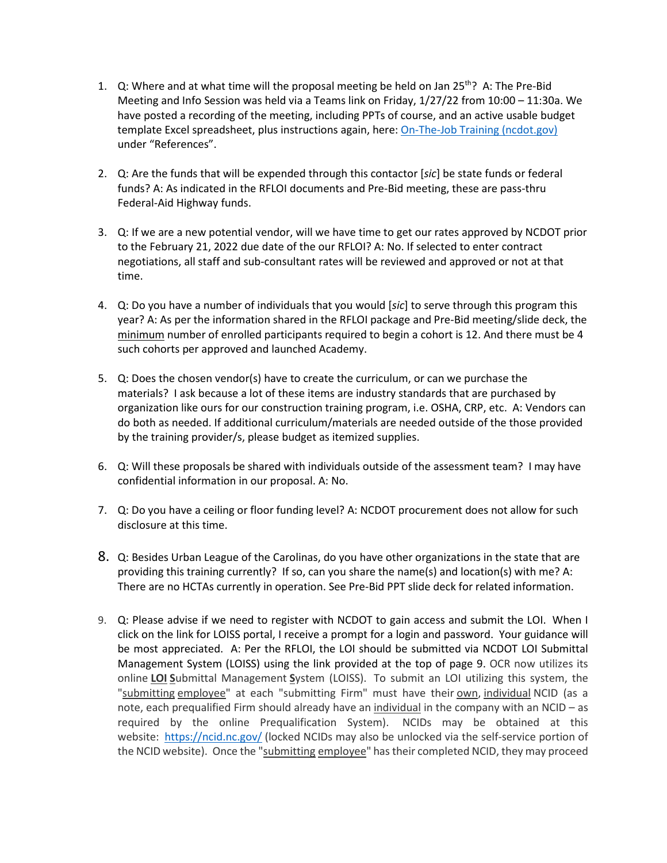- 1. Q: Where and at what time will the proposal meeting be held on Jan  $25<sup>th</sup>$ ? A: The Pre-Bid Meeting and Info Session was held via a Teams link on Friday, 1/27/22 from 10:00 – 11:30a. We have posted a recording of the meeting, including PPTs of course, and an active usable budget template Excel spreadsheet, plus instructions again, here: [On-The-Job Training \(ncdot.gov\)](https://connect.ncdot.gov/business/SmallBusiness/OnTheJobTraining/Pages/default.aspx) under "References".
- 2. Q: Are the funds that will be expended through this contactor [*sic*] be state funds or federal funds? A: As indicated in the RFLOI documents and Pre-Bid meeting, these are pass-thru Federal-Aid Highway funds.
- 3. Q: If we are a new potential vendor, will we have time to get our rates approved by NCDOT prior to the February 21, 2022 due date of the our RFLOI? A: No. If selected to enter contract negotiations, all staff and sub-consultant rates will be reviewed and approved or not at that time.
- 4. Q: Do you have a number of individuals that you would [*sic*] to serve through this program this year? A: As per the information shared in the RFLOI package and Pre-Bid meeting/slide deck, the minimum number of enrolled participants required to begin a cohort is 12. And there must be 4 such cohorts per approved and launched Academy.
- 5. Q: Does the chosen vendor(s) have to create the curriculum, or can we purchase the materials? I ask because a lot of these items are industry standards that are purchased by organization like ours for our construction training program, i.e. OSHA, CRP, etc. A: Vendors can do both as needed. If additional curriculum/materials are needed outside of the those provided by the training provider/s, please budget as itemized supplies.
- 6. Q: Will these proposals be shared with individuals outside of the assessment team? I may have confidential information in our proposal. A: No.
- 7. Q: Do you have a ceiling or floor funding level? A: NCDOT procurement does not allow for such disclosure at this time.
- 8. Q: Besides Urban League of the Carolinas, do you have other organizations in the state that are providing this training currently? If so, can you share the name(s) and location(s) with me? A: There are no HCTAs currently in operation. See Pre-Bid PPT slide deck for related information.
- 9. Q: Please advise if we need to register with NCDOT to gain access and submit the LOI. When I click on the link for LOISS portal, I receive a prompt for a login and password. Your guidance will be most appreciated. A: Per the RFLOI, the LOI should be submitted via NCDOT LOI Submittal Management System (LOISS) using the link provided at the top of page 9. OCR now utilizes its online **LOI S**ubmittal Management **S**ystem (LOISS). To submit an LOI utilizing this system, the "submitting employee" at each "submitting Firm" must have their own, individual NCID (as a note, each prequalified Firm should already have an individual in the company with an NCID – as required by the online Prequalification System). NCIDs may be obtained at this website: <https://ncid.nc.gov/> (locked NCIDs may also be unlocked via the self-service portion of the NCID website). Once the "submitting employee" has their completed NCID, they may proceed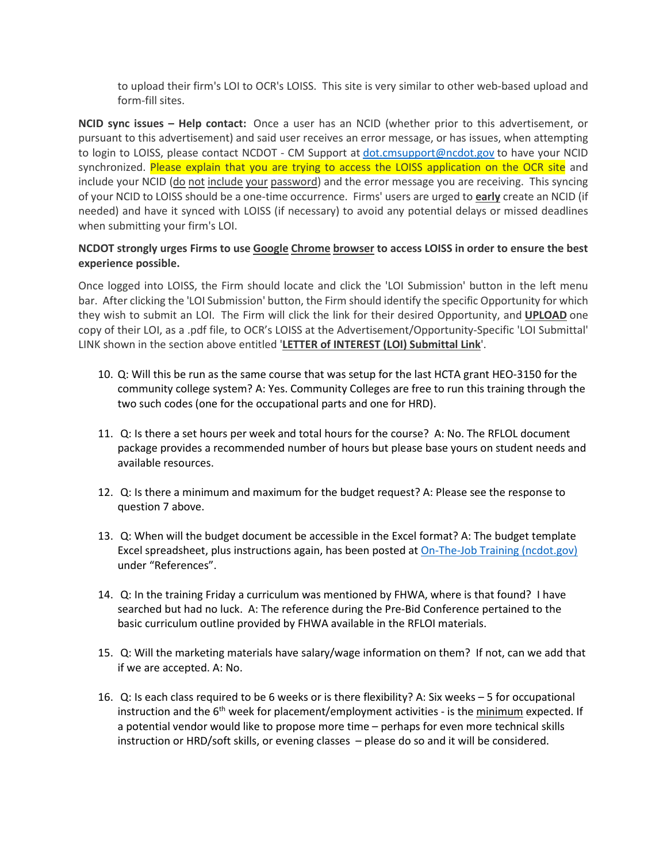to upload their firm's LOI to OCR's LOISS. This site is very similar to other web-based upload and form-fill sites.

**NCID sync issues – Help contact:** Once a user has an NCID (whether prior to this advertisement, or pursuant to this advertisement) and said user receives an error message, or has issues, when attempting to login to LOISS, please contact NCDOT - CM Support at [dot.cmsupport@ncdot.gov](mailto:dot.cmsupport@ncdot.gov) to have your NCID synchronized. Please explain that you are trying to access the LOISS application on the OCR site and include your NCID (do not include your password) and the error message you are receiving. This syncing of your NCID to LOISS should be a one-time occurrence. Firms' users are urged to **early** create an NCID (if needed) and have it synced with LOISS (if necessary) to avoid any potential delays or missed deadlines when submitting your firm's LOI.

## **NCDOT strongly urges Firms to use Google Chrome browser to access LOISS in order to ensure the best experience possible.**

Once logged into LOISS, the Firm should locate and click the 'LOI Submission' button in the left menu bar. After clicking the 'LOI Submission' button, the Firm should identify the specific Opportunity for which they wish to submit an LOI. The Firm will click the link for their desired Opportunity, and **UPLOAD** one copy of their LOI, as a .pdf file, to OCR's LOISS at the Advertisement/Opportunity-Specific 'LOI Submittal' LINK shown in the section above entitled '**LETTER of INTEREST (LOI) Submittal Link**'.

- 10. Q: Will this be run as the same course that was setup for the last HCTA grant HEO-3150 for the community college system? A: Yes. Community Colleges are free to run this training through the two such codes (one for the occupational parts and one for HRD).
- 11. Q: Is there a set hours per week and total hours for the course? A: No. The RFLOL document package provides a recommended number of hours but please base yours on student needs and available resources.
- 12. Q: Is there a minimum and maximum for the budget request? A: Please see the response to question 7 above.
- 13. Q: When will the budget document be accessible in the Excel format? A: The budget template Excel spreadsheet, plus instructions again, has been posted a[t On-The-Job Training \(ncdot.gov\)](https://connect.ncdot.gov/business/SmallBusiness/OnTheJobTraining/Pages/default.aspx) under "References".
- 14. Q: In the training Friday a curriculum was mentioned by FHWA, where is that found? I have searched but had no luck. A: The reference during the Pre-Bid Conference pertained to the basic curriculum outline provided by FHWA available in the RFLOI materials.
- 15. Q: Will the marketing materials have salary/wage information on them? If not, can we add that if we are accepted. A: No.
- 16. Q: Is each class required to be 6 weeks or is there flexibility? A: Six weeks 5 for occupational instruction and the 6<sup>th</sup> week for placement/employment activities - is the minimum expected. If a potential vendor would like to propose more time – perhaps for even more technical skills instruction or HRD/soft skills, or evening classes – please do so and it will be considered.